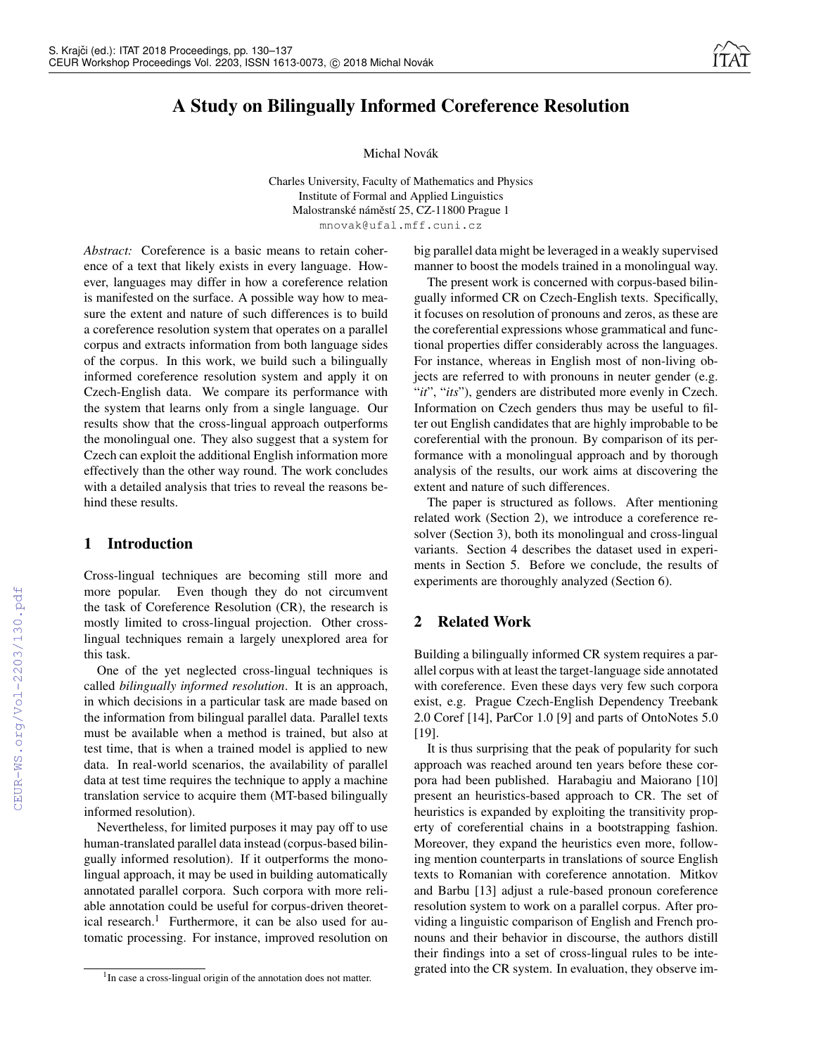# A Study on Bilingually Informed Coreference Resolution

### Michal Novák

Charles University, Faculty of Mathematics and Physics Institute of Formal and Applied Linguistics Malostranské náměstí 25, CZ-11800 Prague 1 mnovak@ufal.mff.cuni.cz

*Abstract:* Coreference is a basic means to retain coherence of a text that likely exists in every language. However, languages may differ in how a coreference relation is manifested on the surface. A possible way how to measure the extent and nature of such differences is to build a coreference resolution system that operates on a parallel corpus and extracts information from both language sides of the corpus. In this work, we build such a bilingually informed coreference resolution system and apply it on Czech-English data. We compare its performance with the system that learns only from a single language. Our results show that the cross-lingual approach outperforms the monolingual one. They also suggest that a system for Czech can exploit the additional English information more effectively than the other way round. The work concludes with a detailed analysis that tries to reveal the reasons behind these results.

# 1 Introduction

Cross-lingual techniques are becoming still more and more popular. Even though they do not circumvent the task of Coreference Resolution (CR), the research is mostly limited to cross-lingual projection. Other crosslingual techniques remain a largely unexplored area for this task.

One of the yet neglected cross-lingual techniques is called *bilingually informed resolution*. It is an approach, in which decisions in a particular task are made based on the information from bilingual parallel data. Parallel texts must be available when a method is trained, but also at test time, that is when a trained model is applied to new data. In real-world scenarios, the availability of parallel data at test time requires the technique to apply a machine translation service to acquire them (MT-based bilingually informed resolution).

Nevertheless, for limited purposes it may pay off to use human-translated parallel data instead (corpus-based bilingually informed resolution). If it outperforms the monolingual approach, it may be used in building automatically annotated parallel corpora. Such corpora with more reliable annotation could be useful for corpus-driven theoretical research.<sup>1</sup> Furthermore, it can be also used for automatic processing. For instance, improved resolution on

big parallel data might be leveraged in a weakly supervised manner to boost the models trained in a monolingual way.

The present work is concerned with corpus-based bilingually informed CR on Czech-English texts. Specifically, it focuses on resolution of pronouns and zeros, as these are the coreferential expressions whose grammatical and functional properties differ considerably across the languages. For instance, whereas in English most of non-living objects are referred to with pronouns in neuter gender (e.g. "*it*", "*its*"), genders are distributed more evenly in Czech. Information on Czech genders thus may be useful to filter out English candidates that are highly improbable to be coreferential with the pronoun. By comparison of its performance with a monolingual approach and by thorough analysis of the results, our work aims at discovering the extent and nature of such differences.

The paper is structured as follows. After mentioning related work (Section 2), we introduce a coreference resolver (Section 3), both its monolingual and cross-lingual variants. Section 4 describes the dataset used in experiments in Section 5. Before we conclude, the results of experiments are thoroughly analyzed (Section 6).

# 2 Related Work

Building a bilingually informed CR system requires a parallel corpus with at least the target-language side annotated with coreference. Even these days very few such corpora exist, e.g. Prague Czech-English Dependency Treebank 2.0 Coref [14], ParCor 1.0 [9] and parts of OntoNotes 5.0 [19].

It is thus surprising that the peak of popularity for such approach was reached around ten years before these corpora had been published. Harabagiu and Maiorano [10] present an heuristics-based approach to CR. The set of heuristics is expanded by exploiting the transitivity property of coreferential chains in a bootstrapping fashion. Moreover, they expand the heuristics even more, following mention counterparts in translations of source English texts to Romanian with coreference annotation. Mitkov and Barbu [13] adjust a rule-based pronoun coreference resolution system to work on a parallel corpus. After providing a linguistic comparison of English and French pronouns and their behavior in discourse, the authors distill their findings into a set of cross-lingual rules to be integrated into the CR system. In evaluation, they observe im-

<sup>&</sup>lt;sup>1</sup>In case a cross-lingual origin of the annotation does not matter.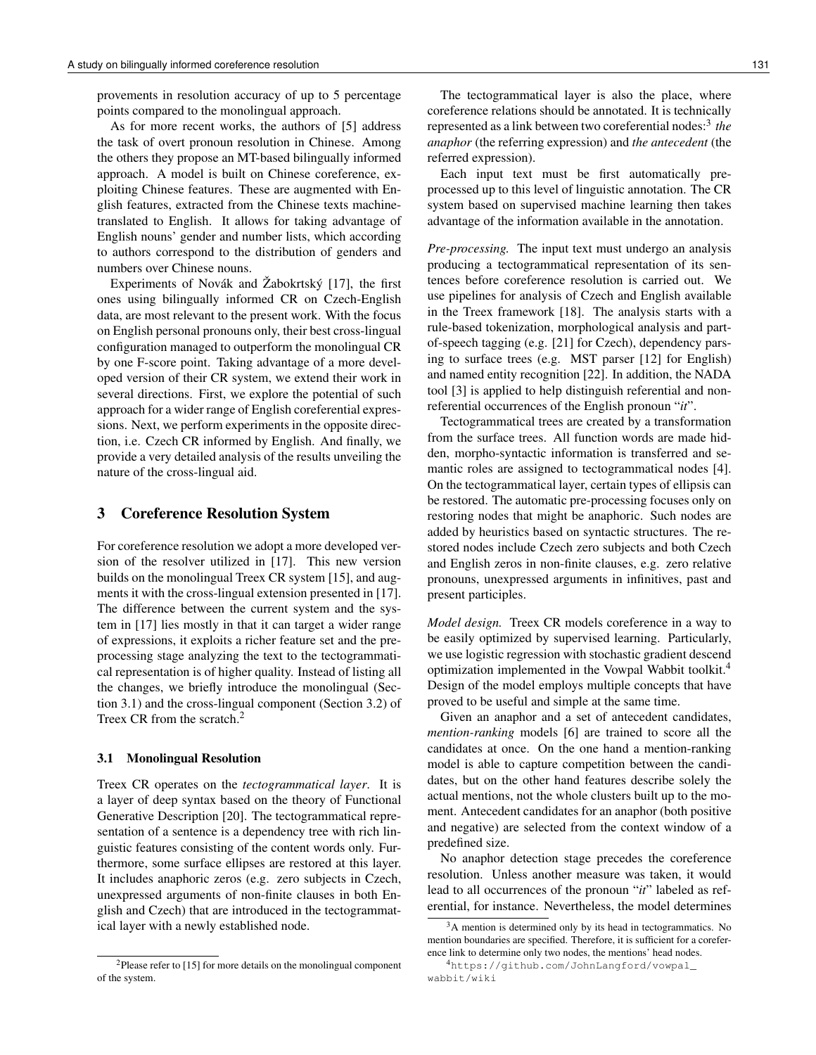provements in resolution accuracy of up to 5 percentage points compared to the monolingual approach.

As for more recent works, the authors of [5] address the task of overt pronoun resolution in Chinese. Among the others they propose an MT-based bilingually informed approach. A model is built on Chinese coreference, exploiting Chinese features. These are augmented with English features, extracted from the Chinese texts machinetranslated to English. It allows for taking advantage of English nouns' gender and number lists, which according to authors correspond to the distribution of genders and numbers over Chinese nouns.

Experiments of Novák and Žabokrtský [17], the first ones using bilingually informed CR on Czech-English data, are most relevant to the present work. With the focus on English personal pronouns only, their best cross-lingual configuration managed to outperform the monolingual CR by one F-score point. Taking advantage of a more developed version of their CR system, we extend their work in several directions. First, we explore the potential of such approach for a wider range of English coreferential expressions. Next, we perform experiments in the opposite direction, i.e. Czech CR informed by English. And finally, we provide a very detailed analysis of the results unveiling the nature of the cross-lingual aid.

# 3 Coreference Resolution System

For coreference resolution we adopt a more developed version of the resolver utilized in [17]. This new version builds on the monolingual Treex CR system [15], and augments it with the cross-lingual extension presented in [17]. The difference between the current system and the system in [17] lies mostly in that it can target a wider range of expressions, it exploits a richer feature set and the preprocessing stage analyzing the text to the tectogrammatical representation is of higher quality. Instead of listing all the changes, we briefly introduce the monolingual (Section 3.1) and the cross-lingual component (Section 3.2) of Treex CR from the scratch.<sup>2</sup>

#### 3.1 Monolingual Resolution

Treex CR operates on the *tectogrammatical layer*. It is a layer of deep syntax based on the theory of Functional Generative Description [20]. The tectogrammatical representation of a sentence is a dependency tree with rich linguistic features consisting of the content words only. Furthermore, some surface ellipses are restored at this layer. It includes anaphoric zeros (e.g. zero subjects in Czech, unexpressed arguments of non-finite clauses in both English and Czech) that are introduced in the tectogrammatical layer with a newly established node.

The tectogrammatical layer is also the place, where coreference relations should be annotated. It is technically represented as a link between two coreferential nodes:<sup>3</sup> *the anaphor* (the referring expression) and *the antecedent* (the referred expression).

Each input text must be first automatically preprocessed up to this level of linguistic annotation. The CR system based on supervised machine learning then takes advantage of the information available in the annotation.

*Pre-processing.* The input text must undergo an analysis producing a tectogrammatical representation of its sentences before coreference resolution is carried out. We use pipelines for analysis of Czech and English available in the Treex framework [18]. The analysis starts with a rule-based tokenization, morphological analysis and partof-speech tagging (e.g. [21] for Czech), dependency parsing to surface trees (e.g. MST parser [12] for English) and named entity recognition [22]. In addition, the NADA tool [3] is applied to help distinguish referential and nonreferential occurrences of the English pronoun "*it*".

Tectogrammatical trees are created by a transformation from the surface trees. All function words are made hidden, morpho-syntactic information is transferred and semantic roles are assigned to tectogrammatical nodes [4]. On the tectogrammatical layer, certain types of ellipsis can be restored. The automatic pre-processing focuses only on restoring nodes that might be anaphoric. Such nodes are added by heuristics based on syntactic structures. The restored nodes include Czech zero subjects and both Czech and English zeros in non-finite clauses, e.g. zero relative pronouns, unexpressed arguments in infinitives, past and present participles.

*Model design.* Treex CR models coreference in a way to be easily optimized by supervised learning. Particularly, we use logistic regression with stochastic gradient descend optimization implemented in the Vowpal Wabbit toolkit.<sup>4</sup> Design of the model employs multiple concepts that have proved to be useful and simple at the same time.

Given an anaphor and a set of antecedent candidates, *mention-ranking* models [6] are trained to score all the candidates at once. On the one hand a mention-ranking model is able to capture competition between the candidates, but on the other hand features describe solely the actual mentions, not the whole clusters built up to the moment. Antecedent candidates for an anaphor (both positive and negative) are selected from the context window of a predefined size.

No anaphor detection stage precedes the coreference resolution. Unless another measure was taken, it would lead to all occurrences of the pronoun "*it*" labeled as referential, for instance. Nevertheless, the model determines

 $2P$ lease refer to [15] for more details on the monolingual component of the system.

<sup>&</sup>lt;sup>3</sup>A mention is determined only by its head in tectogrammatics. No mention boundaries are specified. Therefore, it is sufficient for a coreference link to determine only two nodes, the mentions' head nodes.

<sup>4</sup>https://github.com/JohnLangford/vowpal\_ wabbit/wiki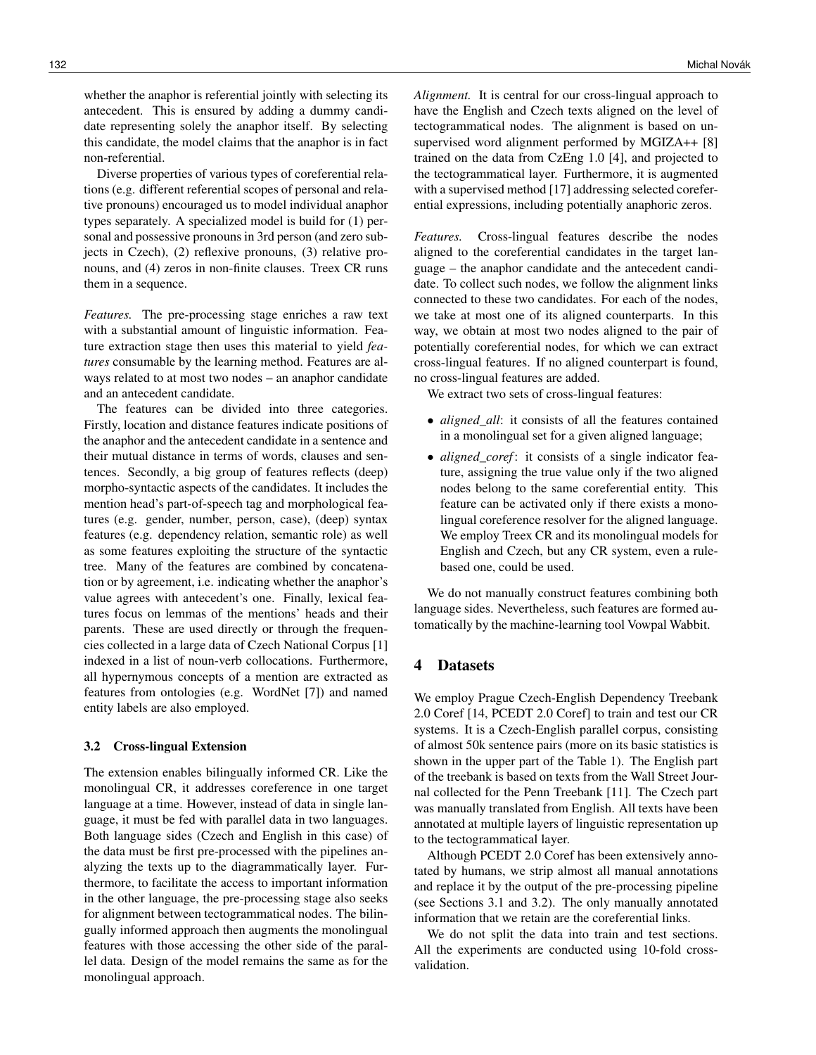whether the anaphor is referential jointly with selecting its antecedent. This is ensured by adding a dummy candidate representing solely the anaphor itself. By selecting this candidate, the model claims that the anaphor is in fact non-referential.

Diverse properties of various types of coreferential relations (e.g. different referential scopes of personal and relative pronouns) encouraged us to model individual anaphor types separately. A specialized model is build for (1) personal and possessive pronouns in 3rd person (and zero subjects in Czech), (2) reflexive pronouns, (3) relative pronouns, and (4) zeros in non-finite clauses. Treex CR runs them in a sequence.

*Features.* The pre-processing stage enriches a raw text with a substantial amount of linguistic information. Feature extraction stage then uses this material to yield *features* consumable by the learning method. Features are always related to at most two nodes – an anaphor candidate and an antecedent candidate.

The features can be divided into three categories. Firstly, location and distance features indicate positions of the anaphor and the antecedent candidate in a sentence and their mutual distance in terms of words, clauses and sentences. Secondly, a big group of features reflects (deep) morpho-syntactic aspects of the candidates. It includes the mention head's part-of-speech tag and morphological features (e.g. gender, number, person, case), (deep) syntax features (e.g. dependency relation, semantic role) as well as some features exploiting the structure of the syntactic tree. Many of the features are combined by concatenation or by agreement, i.e. indicating whether the anaphor's value agrees with antecedent's one. Finally, lexical features focus on lemmas of the mentions' heads and their parents. These are used directly or through the frequencies collected in a large data of Czech National Corpus [1] indexed in a list of noun-verb collocations. Furthermore, all hypernymous concepts of a mention are extracted as features from ontologies (e.g. WordNet [7]) and named entity labels are also employed.

## 3.2 Cross-lingual Extension

The extension enables bilingually informed CR. Like the monolingual CR, it addresses coreference in one target language at a time. However, instead of data in single language, it must be fed with parallel data in two languages. Both language sides (Czech and English in this case) of the data must be first pre-processed with the pipelines analyzing the texts up to the diagrammatically layer. Furthermore, to facilitate the access to important information in the other language, the pre-processing stage also seeks for alignment between tectogrammatical nodes. The bilingually informed approach then augments the monolingual features with those accessing the other side of the parallel data. Design of the model remains the same as for the monolingual approach.

*Alignment.* It is central for our cross-lingual approach to have the English and Czech texts aligned on the level of tectogrammatical nodes. The alignment is based on unsupervised word alignment performed by MGIZA++ [8] trained on the data from CzEng 1.0 [4], and projected to the tectogrammatical layer. Furthermore, it is augmented with a supervised method [17] addressing selected coreferential expressions, including potentially anaphoric zeros.

*Features.* Cross-lingual features describe the nodes aligned to the coreferential candidates in the target language – the anaphor candidate and the antecedent candidate. To collect such nodes, we follow the alignment links connected to these two candidates. For each of the nodes, we take at most one of its aligned counterparts. In this way, we obtain at most two nodes aligned to the pair of potentially coreferential nodes, for which we can extract cross-lingual features. If no aligned counterpart is found, no cross-lingual features are added.

We extract two sets of cross-lingual features:

- *aligned\_all*: it consists of all the features contained in a monolingual set for a given aligned language;
- *aligned\_coref*: it consists of a single indicator feature, assigning the true value only if the two aligned nodes belong to the same coreferential entity. This feature can be activated only if there exists a monolingual coreference resolver for the aligned language. We employ Treex CR and its monolingual models for English and Czech, but any CR system, even a rulebased one, could be used.

We do not manually construct features combining both language sides. Nevertheless, such features are formed automatically by the machine-learning tool Vowpal Wabbit.

## 4 Datasets

We employ Prague Czech-English Dependency Treebank 2.0 Coref [14, PCEDT 2.0 Coref] to train and test our CR systems. It is a Czech-English parallel corpus, consisting of almost 50k sentence pairs (more on its basic statistics is shown in the upper part of the Table 1). The English part of the treebank is based on texts from the Wall Street Journal collected for the Penn Treebank [11]. The Czech part was manually translated from English. All texts have been annotated at multiple layers of linguistic representation up to the tectogrammatical layer.

Although PCEDT 2.0 Coref has been extensively annotated by humans, we strip almost all manual annotations and replace it by the output of the pre-processing pipeline (see Sections 3.1 and 3.2). The only manually annotated information that we retain are the coreferential links.

We do not split the data into train and test sections. All the experiments are conducted using 10-fold crossvalidation.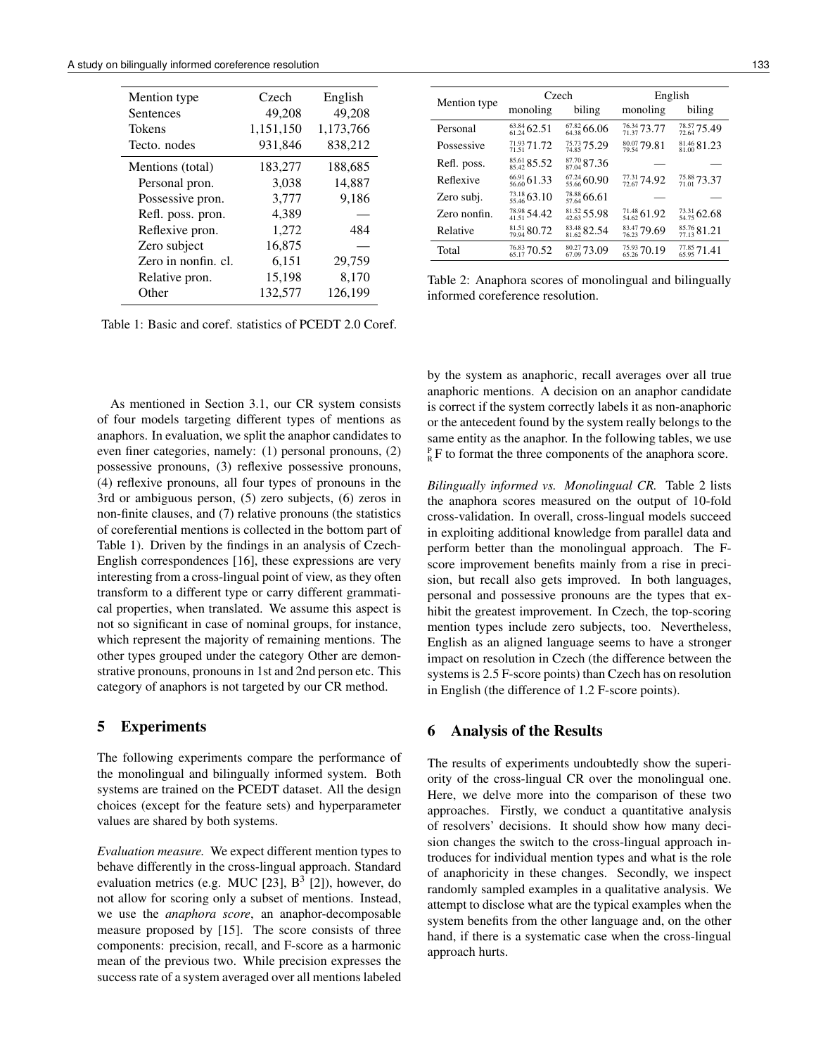| Mention type        | Czech     | English   |
|---------------------|-----------|-----------|
| Sentences           | 49,208    | 49,208    |
| Tokens              | 1,151,150 | 1,173,766 |
| Tecto, nodes        | 931,846   | 838,212   |
| Mentions (total)    | 183,277   | 188,685   |
| Personal pron.      | 3,038     | 14,887    |
| Possessive pron.    | 3,777     | 9,186     |
| Refl. poss. pron.   | 4,389     |           |
| Reflexive pron.     | 1,272     | 484       |
| Zero subject        | 16,875    |           |
| Zero in nonfin. cl. | 6,151     | 29,759    |
| Relative pron.      | 15,198    | 8,170     |
| Other               | 132,577   | 126,199   |

Table 1: Basic and coref. statistics of PCEDT 2.0 Coref.

As mentioned in Section 3.1, our CR system consists of four models targeting different types of mentions as anaphors. In evaluation, we split the anaphor candidates to even finer categories, namely: (1) personal pronouns, (2) possessive pronouns, (3) reflexive possessive pronouns, (4) reflexive pronouns, all four types of pronouns in the 3rd or ambiguous person, (5) zero subjects, (6) zeros in non-finite clauses, and (7) relative pronouns (the statistics of coreferential mentions is collected in the bottom part of Table 1). Driven by the findings in an analysis of Czech-English correspondences [16], these expressions are very interesting from a cross-lingual point of view, as they often transform to a different type or carry different grammatical properties, when translated. We assume this aspect is not so significant in case of nominal groups, for instance, which represent the majority of remaining mentions. The other types grouped under the category Other are demonstrative pronouns, pronouns in 1st and 2nd person etc. This category of anaphors is not targeted by our CR method.

## 5 Experiments

The following experiments compare the performance of the monolingual and bilingually informed system. Both systems are trained on the PCEDT dataset. All the design choices (except for the feature sets) and hyperparameter values are shared by both systems.

*Evaluation measure.* We expect different mention types to behave differently in the cross-lingual approach. Standard evaluation metrics (e.g. MUC [23],  $B<sup>3</sup>$  [2]), however, do not allow for scoring only a subset of mentions. Instead, we use the *anaphora score*, an anaphor-decomposable measure proposed by [15]. The score consists of three components: precision, recall, and F-score as a harmonic mean of the previous two. While precision expresses the success rate of a system averaged over all mentions labeled

| Mention type |                             | Czech                          | English                     |                             |  |
|--------------|-----------------------------|--------------------------------|-----------------------------|-----------------------------|--|
|              | monoling                    | biling                         | monoling                    | biling                      |  |
| Personal     | $^{63.84}_{61.24}$ 62.51    | $_{64,38}^{67,82}$ 66.06       | $\frac{76.34}{71.37}$ 73.77 | $\frac{78.57}{72.64}$ 75.49 |  |
| Possessive   | $^{71.93}_{71.51}$ 71.72    | $\frac{75.73}{74.85}$ 75.29    | $\frac{80.07}{79.54}$ 79.81 | $_{81,00}^{81,46}$ 81.23    |  |
| Refl. poss.  | $\frac{85.61}{85.42}$ 85.52 | $87.70$ <sub>87.04</sub> 87.36 |                             |                             |  |
| Reflexive    | $\frac{66.91}{56.60}$ 61.33 | $\frac{67.24}{55.66}$ 60.90    | $^{77.31}_{72.67}$ 74.92    | $^{75.88}_{71.01}$ 73.37    |  |
| Zero subj.   | $\frac{73.18}{55.46}$ 63.10 | $\frac{78.88}{57.64}$ 66.61    |                             |                             |  |
| Zero nonfin. | $\frac{78.98}{41.51}$ 54.42 | $\frac{81.52}{42.63}$ 55.98    | ${}^{71.48}_{54.62}$ 61.92  | $\frac{73.31}{54.75}$ 62.68 |  |
| Relative     | $_{79.94}^{81.51}80.72$     | $83.48$ <sub>81.62</sub> 82.54 | $\frac{83.47}{76.23}$ 79.69 | $\frac{85.76}{77.13}81.21$  |  |
| Total        | $\frac{76.83}{65.17}$ 70.52 | $\frac{80.27}{67.09}$ 73.09    | $\frac{75.93}{65.26}$ 70.19 | $\frac{77.85}{65.95}$ 71.41 |  |

Table 2: Anaphora scores of monolingual and bilingually informed coreference resolution.

by the system as anaphoric, recall averages over all true anaphoric mentions. A decision on an anaphor candidate is correct if the system correctly labels it as non-anaphoric or the antecedent found by the system really belongs to the same entity as the anaphor. In the following tables, we use  $P_R$  F to format the three components of the anaphora score.

*Bilingually informed vs. Monolingual CR.* Table 2 lists the anaphora scores measured on the output of 10-fold cross-validation. In overall, cross-lingual models succeed in exploiting additional knowledge from parallel data and perform better than the monolingual approach. The Fscore improvement benefits mainly from a rise in precision, but recall also gets improved. In both languages, personal and possessive pronouns are the types that exhibit the greatest improvement. In Czech, the top-scoring mention types include zero subjects, too. Nevertheless, English as an aligned language seems to have a stronger impact on resolution in Czech (the difference between the systems is 2.5 F-score points) than Czech has on resolution in English (the difference of 1.2 F-score points).

# 6 Analysis of the Results

The results of experiments undoubtedly show the superiority of the cross-lingual CR over the monolingual one. Here, we delve more into the comparison of these two approaches. Firstly, we conduct a quantitative analysis of resolvers' decisions. It should show how many decision changes the switch to the cross-lingual approach introduces for individual mention types and what is the role of anaphoricity in these changes. Secondly, we inspect randomly sampled examples in a qualitative analysis. We attempt to disclose what are the typical examples when the system benefits from the other language and, on the other hand, if there is a systematic case when the cross-lingual approach hurts.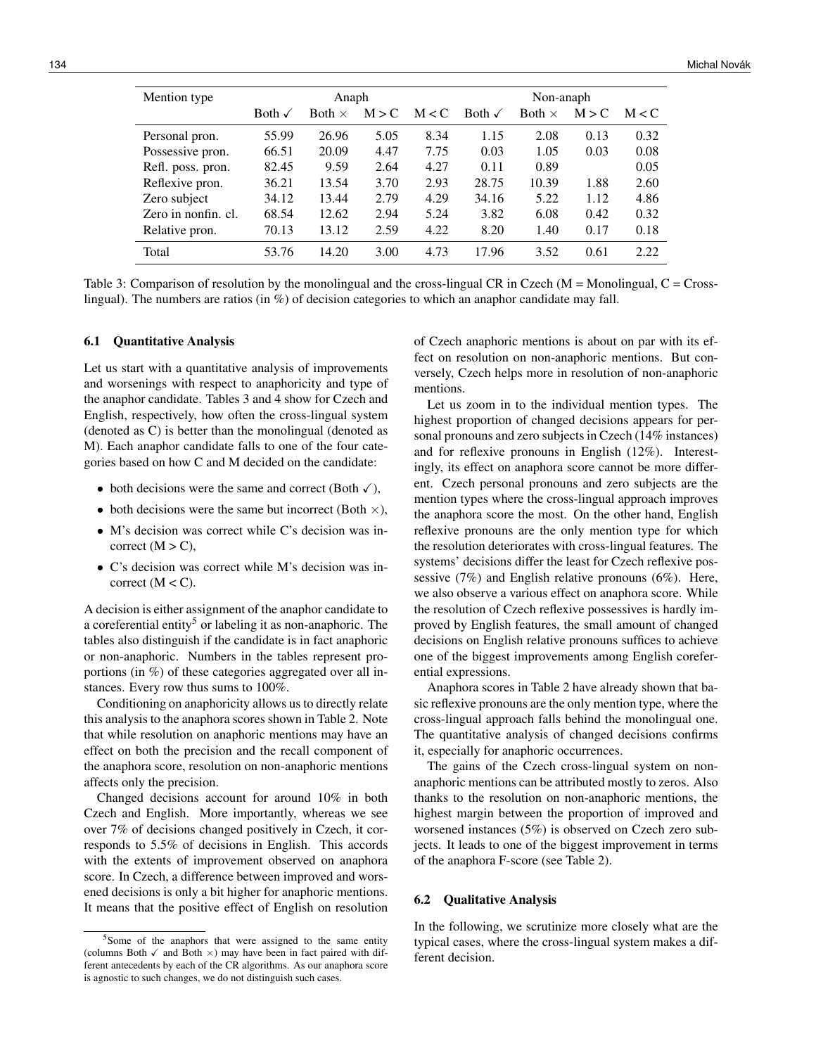| Mention type        | Anaph             |               |       |       | Non-anaph         |               |       |       |
|---------------------|-------------------|---------------|-------|-------|-------------------|---------------|-------|-------|
|                     | Both $\checkmark$ | Both $\times$ | M > C | M < C | Both $\checkmark$ | Both $\times$ | M > C | M < C |
| Personal pron.      | 55.99             | 26.96         | 5.05  | 8.34  | 1.15              | 2.08          | 0.13  | 0.32  |
| Possessive pron.    | 66.51             | 20.09         | 4.47  | 7.75  | 0.03              | 1.05          | 0.03  | 0.08  |
| Refl. poss. pron.   | 82.45             | 9.59          | 2.64  | 4.27  | 0.11              | 0.89          |       | 0.05  |
| Reflexive pron.     | 36.21             | 13.54         | 3.70  | 2.93  | 28.75             | 10.39         | 1.88  | 2.60  |
| Zero subject        | 34.12             | 13.44         | 2.79  | 4.29  | 34.16             | 5.22          | 1.12  | 4.86  |
| Zero in nonfin. cl. | 68.54             | 12.62         | 2.94  | 5.24  | 3.82              | 6.08          | 0.42  | 0.32  |
| Relative pron.      | 70.13             | 13.12         | 2.59  | 4.22  | 8.20              | 1.40          | 0.17  | 0.18  |
| Total               | 53.76             | 14.20         | 3.00  | 4.73  | 17.96             | 3.52          | 0.61  | 2.22  |

Table 3: Comparison of resolution by the monolingual and the cross-lingual CR in Czech ( $M =$ Monolingual, C = Crosslingual). The numbers are ratios (in %) of decision categories to which an anaphor candidate may fall.

#### 6.1 Quantitative Analysis

Let us start with a quantitative analysis of improvements and worsenings with respect to anaphoricity and type of the anaphor candidate. Tables 3 and 4 show for Czech and English, respectively, how often the cross-lingual system (denoted as C) is better than the monolingual (denoted as M). Each anaphor candidate falls to one of the four categories based on how C and M decided on the candidate:

- both decisions were the same and correct (Both  $\checkmark$ ),
- both decisions were the same but incorrect (Both  $\times$ ),
- M's decision was correct while C's decision was incorrect  $(M > C)$ ,
- C's decision was correct while M's decision was incorrect  $(M < C)$ .

A decision is either assignment of the anaphor candidate to a coreferential entity<sup>5</sup> or labeling it as non-anaphoric. The tables also distinguish if the candidate is in fact anaphoric or non-anaphoric. Numbers in the tables represent proportions (in %) of these categories aggregated over all instances. Every row thus sums to 100%.

Conditioning on anaphoricity allows us to directly relate this analysis to the anaphora scores shown in Table 2. Note that while resolution on anaphoric mentions may have an effect on both the precision and the recall component of the anaphora score, resolution on non-anaphoric mentions affects only the precision.

Changed decisions account for around 10% in both Czech and English. More importantly, whereas we see over 7% of decisions changed positively in Czech, it corresponds to 5.5% of decisions in English. This accords with the extents of improvement observed on anaphora score. In Czech, a difference between improved and worsened decisions is only a bit higher for anaphoric mentions. It means that the positive effect of English on resolution of Czech anaphoric mentions is about on par with its effect on resolution on non-anaphoric mentions. But conversely, Czech helps more in resolution of non-anaphoric mentions.

Let us zoom in to the individual mention types. The highest proportion of changed decisions appears for personal pronouns and zero subjects in Czech (14% instances) and for reflexive pronouns in English (12%). Interestingly, its effect on anaphora score cannot be more different. Czech personal pronouns and zero subjects are the mention types where the cross-lingual approach improves the anaphora score the most. On the other hand, English reflexive pronouns are the only mention type for which the resolution deteriorates with cross-lingual features. The systems' decisions differ the least for Czech reflexive possessive (7%) and English relative pronouns (6%). Here, we also observe a various effect on anaphora score. While the resolution of Czech reflexive possessives is hardly improved by English features, the small amount of changed decisions on English relative pronouns suffices to achieve one of the biggest improvements among English coreferential expressions.

Anaphora scores in Table 2 have already shown that basic reflexive pronouns are the only mention type, where the cross-lingual approach falls behind the monolingual one. The quantitative analysis of changed decisions confirms it, especially for anaphoric occurrences.

The gains of the Czech cross-lingual system on nonanaphoric mentions can be attributed mostly to zeros. Also thanks to the resolution on non-anaphoric mentions, the highest margin between the proportion of improved and worsened instances (5%) is observed on Czech zero subjects. It leads to one of the biggest improvement in terms of the anaphora F-score (see Table 2).

## 6.2 Qualitative Analysis

In the following, we scrutinize more closely what are the typical cases, where the cross-lingual system makes a different decision.

<sup>&</sup>lt;sup>5</sup>Some of the anaphors that were assigned to the same entity (columns Both  $\checkmark$  and Both  $\times$ ) may have been in fact paired with different antecedents by each of the CR algorithms. As our anaphora score is agnostic to such changes, we do not distinguish such cases.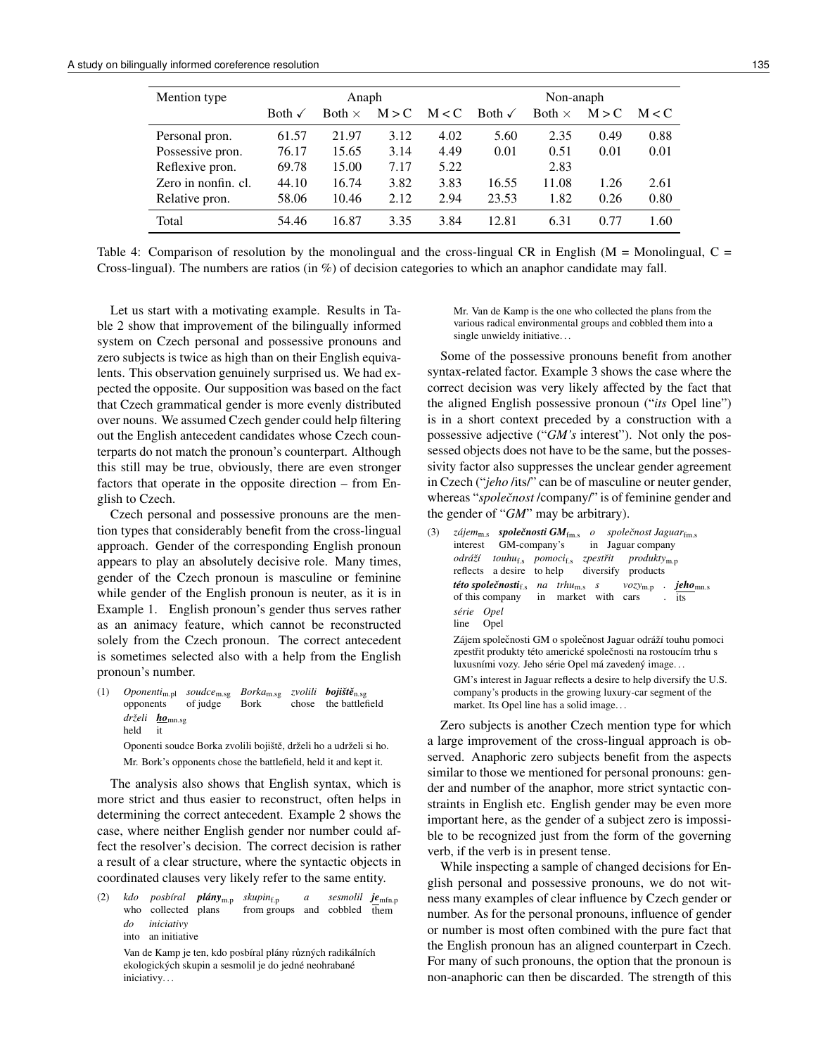| Mention type        | Anaph             |               |       |       | Non-anaph         |               |       |       |
|---------------------|-------------------|---------------|-------|-------|-------------------|---------------|-------|-------|
|                     | Both $\checkmark$ | Both $\times$ | M > C | M < C | Both $\checkmark$ | Both $\times$ | M > C | M < C |
| Personal pron.      | 61.57             | 21.97         | 3.12  | 4.02  | 5.60              | 2.35          | 0.49  | 0.88  |
| Possessive pron.    | 76.17             | 15.65         | 3.14  | 4.49  | 0.01              | 0.51          | 0.01  | 0.01  |
| Reflexive pron.     | 69.78             | 15.00         | 7.17  | 5.22  |                   | 2.83          |       |       |
| Zero in nonfin. cl. | 44.10             | 16.74         | 3.82  | 3.83  | 16.55             | 11.08         | 1.26  | 2.61  |
| Relative pron.      | 58.06             | 10.46         | 2.12  | 2.94  | 23.53             | 1.82          | 0.26  | 0.80  |
| Total               | 54.46             | 16.87         | 3.35  | 3.84  | 12.81             | 6.31          | 0.77  | 1.60  |

Table 4: Comparison of resolution by the monolingual and the cross-lingual CR in English ( $M =$  Monolingual, C = Cross-lingual). The numbers are ratios (in %) of decision categories to which an anaphor candidate may fall.

Let us start with a motivating example. Results in Table 2 show that improvement of the bilingually informed system on Czech personal and possessive pronouns and zero subjects is twice as high than on their English equivalents. This observation genuinely surprised us. We had expected the opposite. Our supposition was based on the fact that Czech grammatical gender is more evenly distributed over nouns. We assumed Czech gender could help filtering out the English antecedent candidates whose Czech counterparts do not match the pronoun's counterpart. Although this still may be true, obviously, there are even stronger factors that operate in the opposite direction – from English to Czech.

Czech personal and possessive pronouns are the mention types that considerably benefit from the cross-lingual approach. Gender of the corresponding English pronoun appears to play an absolutely decisive role. Many times, gender of the Czech pronoun is masculine or feminine while gender of the English pronoun is neuter, as it is in Example 1. English pronoun's gender thus serves rather as an animacy feature, which cannot be reconstructed solely from the Czech pronoun. The correct antecedent is sometimes selected also with a help from the English pronoun's number.

(1) *Oponenti*m.pl opponents *soudce*m.sg *Borka*m.sg *zvolili bojištˇe*n.sg of judge Bork chose the battlefield *drželi ho*mn.sg held it

Oponenti soudce Borka zvolili bojiště, drželi ho a udrželi si ho. Mr. Bork's opponents chose the battlefield, held it and kept it.

The analysis also shows that English syntax, which is more strict and thus easier to reconstruct, often helps in determining the correct antecedent. Example 2 shows the case, where neither English gender nor number could affect the resolver's decision. The correct decision is rather a result of a clear structure, where the syntactic objects in coordinated clauses very likely refer to the same entity.

(2) *kdo* who collected plans *posbíral plány*m.p *skupin*f.p from groups and cobbled them *a sesmolil je*mfn.p *do iniciativy* into an initiative

Van de Kamp je ten, kdo posbíral plány různých radikálních ekologických skupin a sesmolil je do jedné neohrabané iniciativy. . .

Mr. Van de Kamp is the one who collected the plans from the various radical environmental groups and cobbled them into a single unwieldy initiative. . .

Some of the possessive pronouns benefit from another syntax-related factor. Example 3 shows the case where the correct decision was very likely affected by the fact that the aligned English possessive pronoun ("*its* Opel line") is in a short context preceded by a construction with a possessive adjective ("*GM's* interest"). Not only the possessed objects does not have to be the same, but the possessivity factor also suppresses the unclear gender agreement in Czech ("*jeho* /its/" can be of masculine or neuter gender, whereas "*společnost* /company/" is of feminine gender and the gender of "*GM*" may be arbitrary).

```
(3) zájem<sub>m.s</sub> společnosti GM<sub>fm.s</sub> o společnost Jaguar<sub>fm.s</sub>
     interest
                GM-company's
                                      in
Jaguar company
      odráží
touhuf.s
pomocif.s
zpestˇrit
      reflects
a desire
to help
                                     diversify
products
                                              produktym.p
      této spoleˇcnostif.s
na
trhum.s
s
     of this company
                          in
market
with
cars
                                              vozym.p
                                                        .
jehomn.s
                                                        .
its
      série
Opel
     line
            Opel
     Zájem společnosti GM o společnost Jaguar odráží touhu pomoci
      zpestřit produkty této americké společnosti na rostoucím trhu s
     luxusními vozy. Jeho série Opel má zavedený image. . .
     GM's interest in Jaguar reflects a desire to help diversify the U.S.
     company's products in the growing luxury-car segment of the
     market. Its Opel line has a solid image. . .
```
Zero subjects is another Czech mention type for which a large improvement of the cross-lingual approach is observed. Anaphoric zero subjects benefit from the aspects similar to those we mentioned for personal pronouns: gender and number of the anaphor, more strict syntactic constraints in English etc. English gender may be even more important here, as the gender of a subject zero is impossible to be recognized just from the form of the governing verb, if the verb is in present tense.

While inspecting a sample of changed decisions for English personal and possessive pronouns, we do not witness many examples of clear influence by Czech gender or number. As for the personal pronouns, influence of gender or number is most often combined with the pure fact that the English pronoun has an aligned counterpart in Czech. For many of such pronouns, the option that the pronoun is non-anaphoric can then be discarded. The strength of this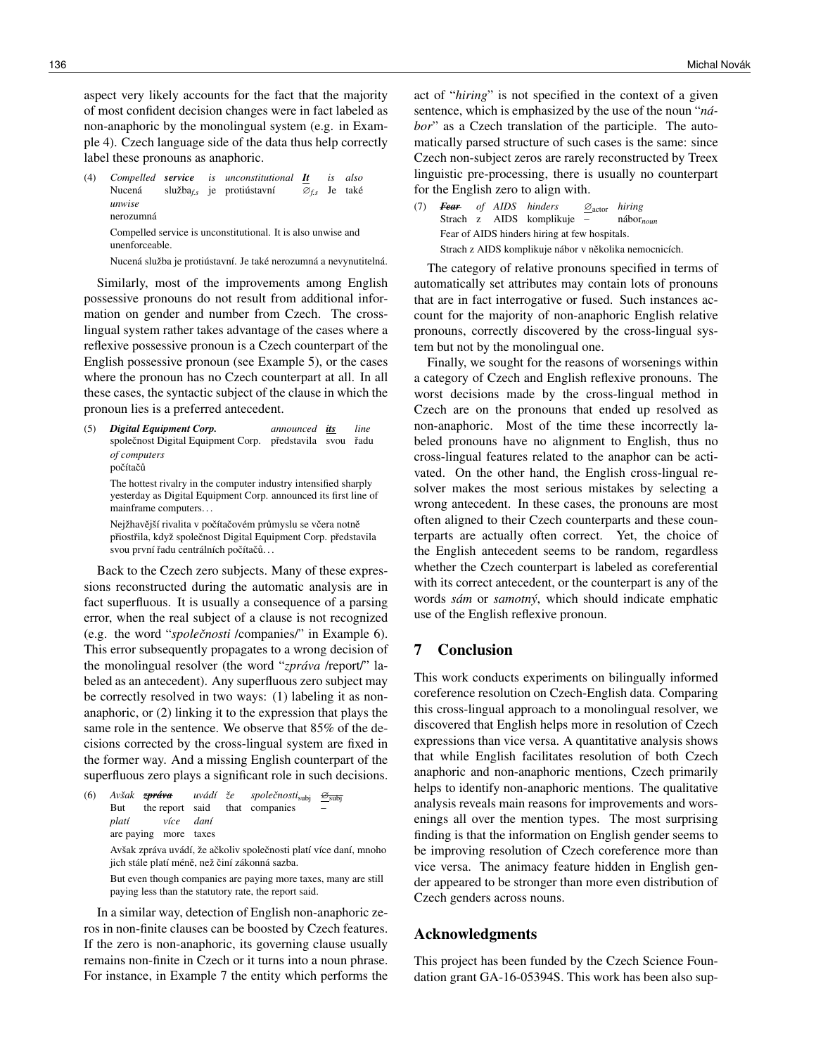aspect very likely accounts for the fact that the majority of most confident decision changes were in fact labeled as non-anaphoric by the monolingual system (e.g. in Example 4). Czech language side of the data thus help correctly label these pronouns as anaphoric.

(4) *Compelled service* Nucená služba*f.s* je protiústavní *is unconstitutional It* ∅*f.s* Je také *is also unwise* nerozumná Compelled service is unconstitutional. It is also unwise and unenforceable.

Nucená služba je protiústavní. Je také nerozumná a nevynutitelná.

Similarly, most of the improvements among English possessive pronouns do not result from additional information on gender and number from Czech. The crosslingual system rather takes advantage of the cases where a reflexive possessive pronoun is a Czech counterpart of the English possessive pronoun (see Example 5), or the cases where the pronoun has no Czech counterpart at all. In all these cases, the syntactic subject of the clause in which the pronoun lies is a preferred antecedent.

(5) *Digital Equipment Corp.* společnost Digital Equipment Corp. představila svou řadu *announced its line of computers* počítačů The hottest rivalry in the computer industry intensified sharply yesterday as Digital Equipment Corp. announced its first line of mainframe computers. . .

Nejžhavější rivalita v počítačovém průmyslu se včera notně přiostřila, když společnost Digital Equipment Corp. představila svou první řadu centrálních počítačů...

Back to the Czech zero subjects. Many of these expressions reconstructed during the automatic analysis are in fact superfluous. It is usually a consequence of a parsing error, when the real subject of a clause is not recognized (e.g. the word "*společnosti* /companies/" in Example 6). This error subsequently propagates to a wrong decision of the monolingual resolver (the word "*zpráva* /report/" labeled as an antecedent). Any superfluous zero subject may be correctly resolved in two ways: (1) labeling it as nonanaphoric, or (2) linking it to the expression that plays the same role in the sentence. We observe that 85% of the decisions corrected by the cross-lingual system are fixed in the former way. And a missing English counterpart of the superfluous zero plays a significant role in such decisions.

(6) *Avšak zpráva* But the report said *uvádí že* that companies *spoleˇcnosti*subj  $\frac{\cancel{\Theta}}{\text{sub}}$ – *platí* are paying more taxes *více daní* Avšak zpráva uvádí, že ačkoliv společnosti platí více daní, mnoho jich stále platí méně, než činí zákonná sazba. But even though companies are paying more taxes, many are still paying less than the statutory rate, the report said.

In a similar way, detection of English non-anaphoric zeros in non-finite clauses can be boosted by Czech features. If the zero is non-anaphoric, its governing clause usually remains non-finite in Czech or it turns into a noun phrase. For instance, in Example 7 the entity which performs the

act of "*hiring*" is not specified in the context of a given sentence, which is emphasized by the use of the noun "*nábor*" as a Czech translation of the participle. The automatically parsed structure of such cases is the same: since Czech non-subject zeros are rarely reconstructed by Treex linguistic pre-processing, there is usually no counterpart for the English zero to align with.

(7) *Fear of AIDS hinders* Strach z AIDS komplikuje – ∅actor *hiring* nábor*noun* Fear of AIDS hinders hiring at few hospitals. Strach z AIDS komplikuje nábor v několika nemocnicích.

The category of relative pronouns specified in terms of automatically set attributes may contain lots of pronouns that are in fact interrogative or fused. Such instances account for the majority of non-anaphoric English relative pronouns, correctly discovered by the cross-lingual system but not by the monolingual one.

Finally, we sought for the reasons of worsenings within a category of Czech and English reflexive pronouns. The worst decisions made by the cross-lingual method in Czech are on the pronouns that ended up resolved as non-anaphoric. Most of the time these incorrectly labeled pronouns have no alignment to English, thus no cross-lingual features related to the anaphor can be activated. On the other hand, the English cross-lingual resolver makes the most serious mistakes by selecting a wrong antecedent. In these cases, the pronouns are most often aligned to their Czech counterparts and these counterparts are actually often correct. Yet, the choice of the English antecedent seems to be random, regardless whether the Czech counterpart is labeled as coreferential with its correct antecedent, or the counterpart is any of the words *sám* or *samotný*, which should indicate emphatic use of the English reflexive pronoun.

# 7 Conclusion

This work conducts experiments on bilingually informed coreference resolution on Czech-English data. Comparing this cross-lingual approach to a monolingual resolver, we discovered that English helps more in resolution of Czech expressions than vice versa. A quantitative analysis shows that while English facilitates resolution of both Czech anaphoric and non-anaphoric mentions, Czech primarily helps to identify non-anaphoric mentions. The qualitative analysis reveals main reasons for improvements and worsenings all over the mention types. The most surprising finding is that the information on English gender seems to be improving resolution of Czech coreference more than vice versa. The animacy feature hidden in English gender appeared to be stronger than more even distribution of Czech genders across nouns.

## Acknowledgments

This project has been funded by the Czech Science Foundation grant GA-16-05394S. This work has been also sup